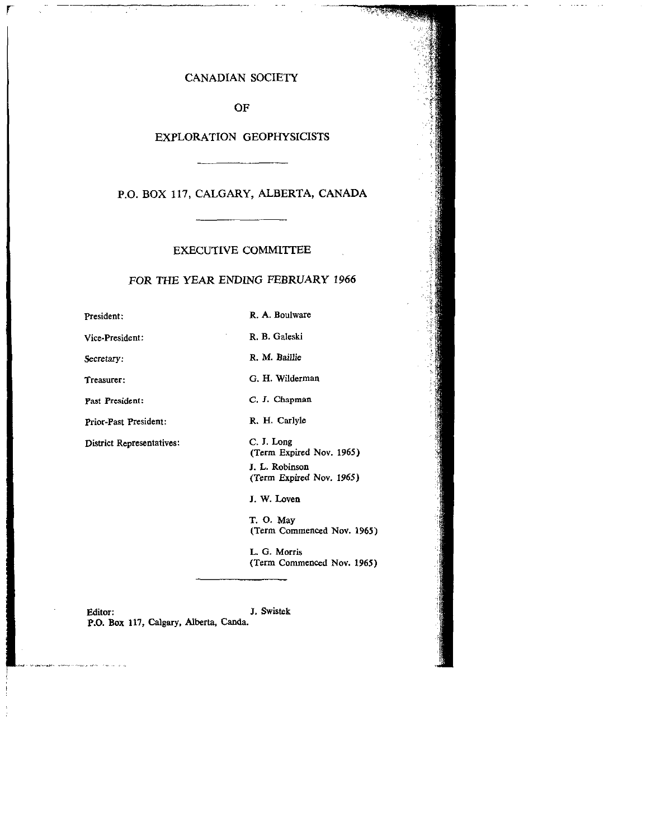## CANADIAN SOCIETY

OF

### EXPLORATION GEOPHYSICISTS

P.O. BOX 117, CALGARY, ALBERTA, CANADA

## EXECUTIVE COMMITTEE

#### FOR THE YEAR ENDING FEBRUARY 1966

President:

Vice-President:

secretary:

Treasurer:

Past President:

Prior-Past President:

District Representatives:

R. M. Baillie

R. A. Boulware

R. B. Galeski

G. H. Wilderman

C. J. Chapman

R. H. Carlyle

C. J. Long (Term Expired Nov. 1965) J. L. Robinson (Term Expired Nov. 1965)

J. W. Loven

T. 0. May (Term Commenced Nov. 1965)

L. G. Morris (Term Commenced Nov. 1965)

Editor: J. Swistek P.O. Box 117, Calgary, Alberta, Canda.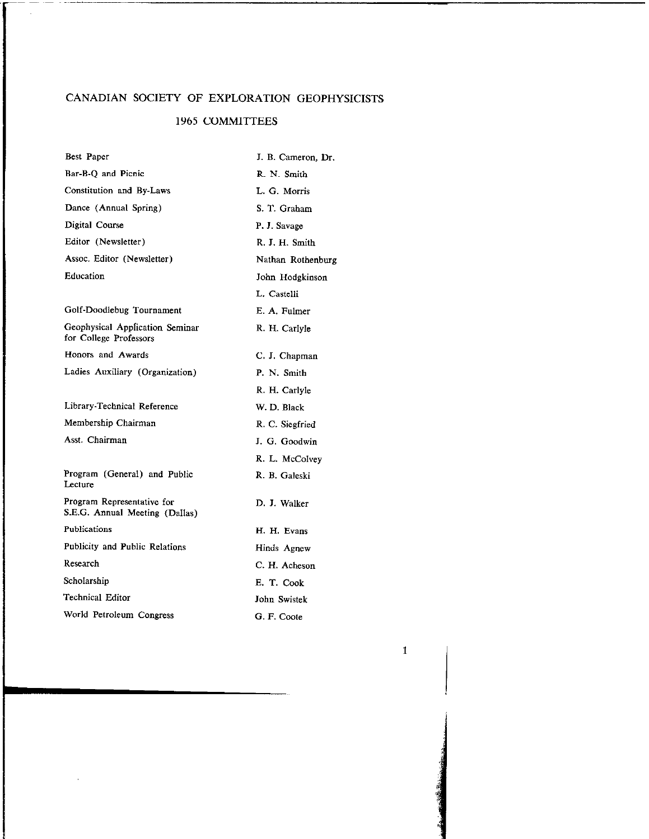# CANADIAN SOCIETY OF EXPLORATION GEOPHYSICISTS

 $\mathcal{L}$ 

# 1965 COMMITTEES

| Best Paper                                                   | J. B. Cameron, Dr. |
|--------------------------------------------------------------|--------------------|
| Bar-B-Q and Picnic                                           | R. N. Smith        |
| Constitution and By-Laws                                     | L. G. Morris       |
| Dance (Annual Spring)                                        | S. T. Graham       |
| Digital Course                                               | P. J. Savage       |
| Editor (Newsletter)                                          | R. J. H. Smith     |
| Assoc. Editor (Newsletter)                                   | Nathan Rothenburg  |
| Education                                                    | John Hodgkinson    |
|                                                              | L. Castelli        |
| Golf-Doodlebug Tournament                                    | E. A. Fulmer       |
| Geophysical Application Seminar<br>for College Professors    | R. H. Carlyle      |
| Honors and Awards                                            | C. J. Chapman      |
| Ladies Auxiliary (Organization)                              | P. N. Smith        |
|                                                              | R. H. Carlyle      |
| Library-Technical Reference                                  | W. D. Black        |
| Membership Chairman                                          | R. C. Siegfried    |
| Asst. Chairman                                               | J. G. Goodwin      |
|                                                              | R. L. McColvey     |
| Program (General) and Public<br>Lecture                      | R. B. Galeski      |
| Program Representative for<br>S.E.G. Annual Meeting (Dallas) | D. J. Walker       |
| Publications                                                 | H. H. Evans        |
| <b>Publicity and Public Relations</b>                        | Hinds Agnew        |
| Research                                                     | C. H. Acheson      |
| Scholarship                                                  | E. T. Cook         |
| Technical Editor                                             | John Swistek       |
| World Petroleum Congress                                     | G. F. Coote        |

 $\mathcal{A}^{\pm}$ 

1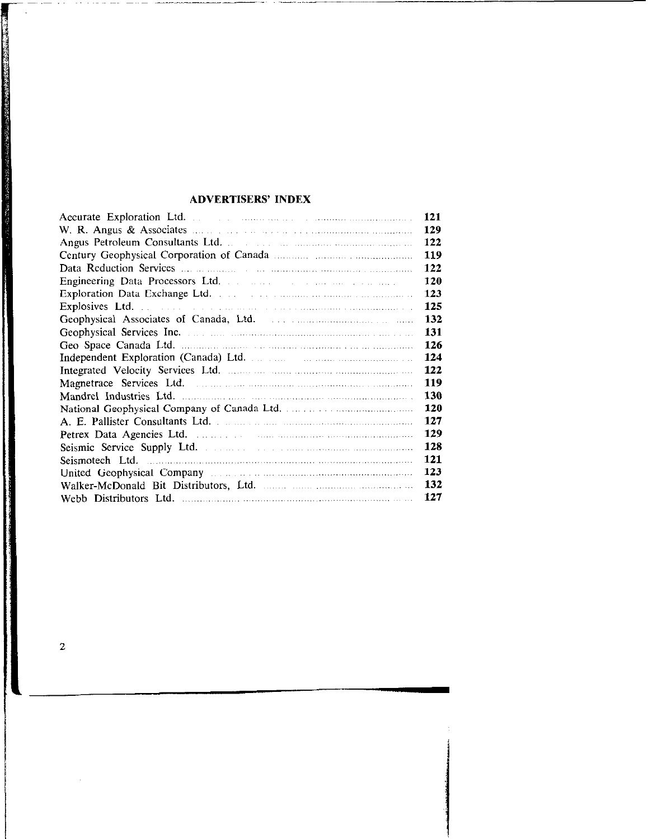## ADVERTISERS' INDEX

| Accurate Exploration Ltd.                                                                                    | 121 |
|--------------------------------------------------------------------------------------------------------------|-----|
| W. R. Angus & Associates $\ldots$ . $\ldots$ . $\ldots$ . $\ldots$ . $\ldots$ . $\ldots$ . $\ldots$          | 129 |
|                                                                                                              | 122 |
|                                                                                                              | 119 |
|                                                                                                              | 122 |
|                                                                                                              | 120 |
|                                                                                                              | 123 |
|                                                                                                              | 125 |
|                                                                                                              | 132 |
|                                                                                                              | 131 |
|                                                                                                              | 126 |
|                                                                                                              | 124 |
|                                                                                                              | 122 |
|                                                                                                              | 119 |
|                                                                                                              | 130 |
|                                                                                                              | 120 |
|                                                                                                              | 127 |
|                                                                                                              | 129 |
|                                                                                                              | 128 |
|                                                                                                              | 121 |
| United Geophysical Company management and contained a company of the state of the state of the United States | 123 |
|                                                                                                              | 132 |
|                                                                                                              | 127 |

 $\overline{2}$ 

contractor of the contractor of the contractor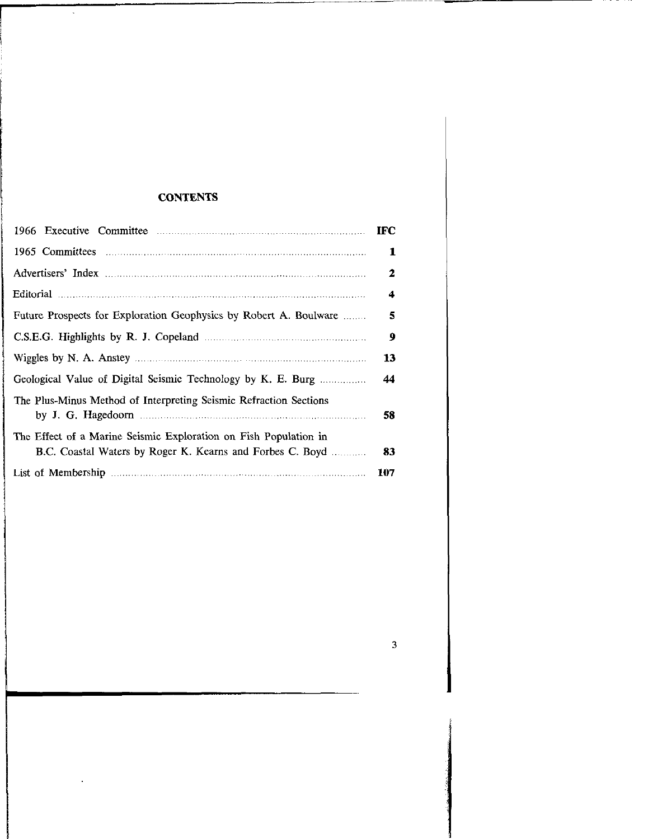# **CONTENTS**

 $\hat{\mathcal{L}}$ 

|                                                                                                                                                                                                                                | <b>IFC</b> |
|--------------------------------------------------------------------------------------------------------------------------------------------------------------------------------------------------------------------------------|------------|
|                                                                                                                                                                                                                                | 1          |
|                                                                                                                                                                                                                                | 2          |
| Editorial manufacture communication of the continuum continuum continuum continuum continuum continuum continuum continuum continuum continuum continuum continuum continuum continuum continuum continuum continuum continuum | 4          |
| Future Prospects for Exploration Geophysics by Robert A. Boulware                                                                                                                                                              | 5          |
|                                                                                                                                                                                                                                | 9          |
|                                                                                                                                                                                                                                | 13         |
| Geological Value of Digital Seismic Technology by K. E. Burg                                                                                                                                                                   | 44         |
| The Plus-Minus Method of Interpreting Seismic Refraction Sections                                                                                                                                                              | 58         |
| The Effect of a Marine Seismic Exploration on Fish Population in<br>B.C. Coastal Waters by Roger K. Kearns and Forbes C. Boyd                                                                                                  | 83         |
| List of Membership manufactured and the Membership                                                                                                                                                                             | 107        |

3